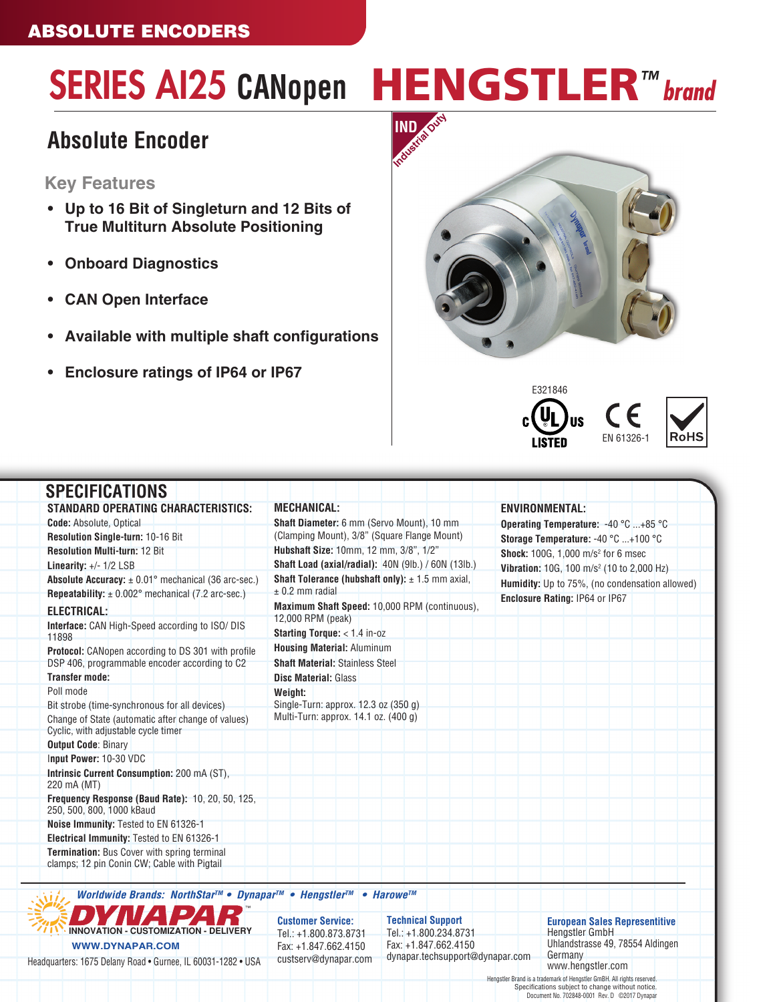# SERIES AI25 CANopen **HENGSTLER**<sup>™</sup> brand

### **Absolute Encoder**

### **Key Features**

- **• Up to 16 Bit of Singleturn and 12 Bits of True Multiturn Absolute Positioning**
- **• Onboard Diagnostics**
- **• CAN Open Interface**
- **• Available with multiple shaft configurations**
- **• Enclosure ratings of IP64 or IP67**







| <b>SPECIFICATIONS</b>                                                                                                                                   |                                                                                         |                                                       |  |  |
|---------------------------------------------------------------------------------------------------------------------------------------------------------|-----------------------------------------------------------------------------------------|-------------------------------------------------------|--|--|
| <b>STANDARD OPERATING CHARACTERISTICS:</b>                                                                                                              | <b>MECHANICAL:</b>                                                                      | <b>ENVIRONMENTAL:</b>                                 |  |  |
| <b>Code: Absolute, Optical</b>                                                                                                                          | <b>Shaft Diameter:</b> 6 mm (Servo Mount), 10 mm                                        | Operating Temperature: -40 °C +85 °C                  |  |  |
| Resolution Single-turn: 10-16 Bit                                                                                                                       | (Clamping Mount), 3/8" (Square Flange Mount)                                            | Storage Temperature: -40 °C +100 °C                   |  |  |
| <b>Resolution Multi-turn: 12 Bit</b>                                                                                                                    | Hubshaft Size: 10mm, 12 mm, 3/8", 1/2"                                                  | <b>Shock:</b> 100G, 1,000 m/s <sup>2</sup> for 6 msec |  |  |
| Linearity: $+/- 1/2$ LSB                                                                                                                                | <b>Shaft Load (axial/radial):</b> 40N (9lb.) / 60N (13lb.)                              | Vibration: 10G, 100 m/s <sup>2</sup> (10 to 2,000 Hz) |  |  |
| <b>Absolute Accuracy:</b> $\pm$ 0.01 $^{\circ}$ mechanical (36 arc-sec.)<br><b>Repeatability:</b> $\pm$ 0.002° mechanical (7.2 arc-sec.)                | <b>Shaft Tolerance (hubshaft only):</b> $\pm$ 1.5 mm axial,<br>$± 0.2$ mm radial        | <b>Humidity:</b> Up to 75%, (no condensation allowed) |  |  |
| ELECTRICAL:                                                                                                                                             | Maximum Shaft Speed: 10,000 RPM (continuous).                                           | Enclosure Rating: IP64 or IP67                        |  |  |
| <b>Interface:</b> CAN High-Speed according to ISO/DIS<br>11898                                                                                          | 12,000 RPM (peak)<br><b>Starting Torque:</b> $<$ 1.4 in-oz                              |                                                       |  |  |
| <b>Protocol:</b> CANopen according to DS 301 with profile<br>DSP 406, programmable encoder according to C2                                              | <b>Housing Material: Aluminum</b><br><b>Shaft Material: Stainless Steel</b>             |                                                       |  |  |
| <b>Transfer mode:</b>                                                                                                                                   | <b>Disc Material: Glass</b>                                                             |                                                       |  |  |
| Poll mode<br>Bit strobe (time-synchronous for all devices)<br>Change of State (automatic after change of values)<br>Cyclic, with adjustable cycle timer | Weight:<br>Single-Turn: approx. 12.3 oz (350 g)<br>Multi-Turn: approx. 14.1 oz. (400 g) |                                                       |  |  |
| <b>Output Code: Binary</b>                                                                                                                              |                                                                                         |                                                       |  |  |
| Input Power: 10-30 VDC                                                                                                                                  |                                                                                         |                                                       |  |  |
| Intrinsic Current Consumption: 200 mA (ST).<br>220 mA (MT)                                                                                              |                                                                                         |                                                       |  |  |
| Frequency Response (Baud Rate): 10, 20, 50, 125,<br>250, 500, 800, 1000 kBaud                                                                           |                                                                                         |                                                       |  |  |
| Noise Immunity: Tested to EN 61326-1                                                                                                                    |                                                                                         |                                                       |  |  |
| Electrical Immunity: Tested to EN 61326-1                                                                                                               |                                                                                         |                                                       |  |  |
| <b>Termination:</b> Bus Cover with spring terminal<br>clamps; 12 pin Conin CW; Cable with Pigtail                                                       |                                                                                         |                                                       |  |  |
|                                                                                                                                                         |                                                                                         |                                                       |  |  |

*Worldwide Brands: NorthStarTM* **• Dynapar***TM* **• Hengstler***TM* **• Harowe***TM*



**Customer Service:** Tel.: +1.800.873.8731 Fax: +1.847.662.4150 custserv@dynapar.com **Technical Support** Tel.: +1.800.234.8731 Fax: +1.847.662.4150 dynapar.techsupport@dynapar.com

**European Sales Representitive** Hengstler GmbH Uhlandstrasse 49, 78554 Aldingen **Germany** www.hengstler.com

Hengstler Brand is a trademark of Hengstler GmBH. All rights reserved. Specifications subject to change without notice. Document No. 702848-0001 Rev. D ©2017 Dynapar